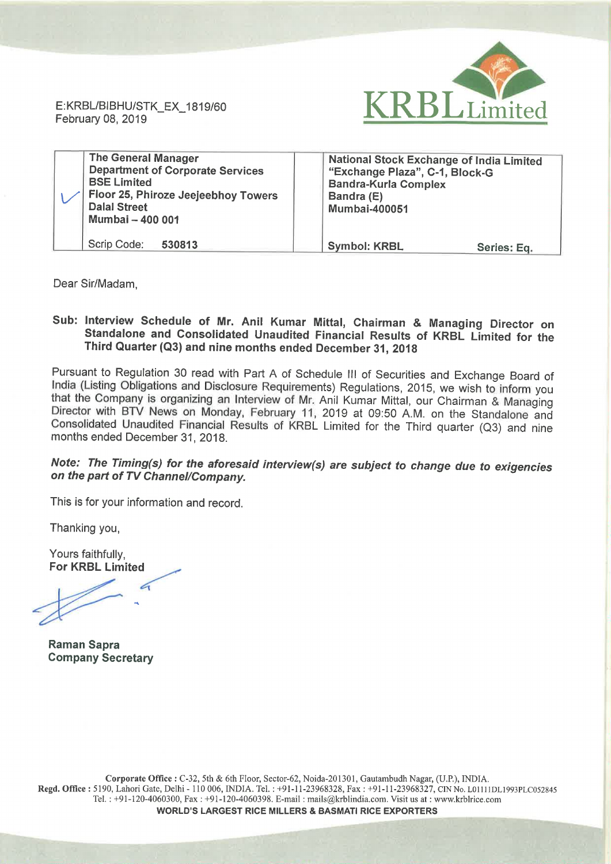

| <b>The General Manager</b><br><b>Department of Corporate Services</b><br><b>BSE Limited</b><br>Floor 25, Phiroze Jeejeebhoy Towers<br><b>Dalal Street</b><br>Mumbai - 400 001 | National Stock Exchange of India Limited<br>"Exchange Plaza", C-1, Block-G<br><b>Bandra-Kurla Complex</b><br>Bandra (E)<br><b>Mumbai-400051</b> |
|-------------------------------------------------------------------------------------------------------------------------------------------------------------------------------|-------------------------------------------------------------------------------------------------------------------------------------------------|
| Scrip Code:<br>530813                                                                                                                                                         | <b>Symbol: KRBL</b><br>Series: Eq.                                                                                                              |

Dear Sir/Madam,

## Sub: Interview Schedule of Mr. Anil Kumar Mittal, Chairman & Managing Director on Standalone and Consolidated Unaudited Financial Results of KRBL Limited for the Third Quarter (Q3) and nine months ended December 31, <sup>2018</sup>

Pursuant to Regulation <sup>30</sup> read with Part <sup>A</sup> of Schedule III of Securities and Exchange Board of India (Listing Obligations and Disclosure Requirements) Regulations, 2015, we wish to inform you<br>that the Company is organizing an Interview of Mr. Anil Kumar Mittal, our Chairman & Managing Director with BTV News on Monday, February 11, 2019 at 09:50 A.M. on the Standalone and Consolidated Unaudited Financial Results of KRBL Limited for the Third quarter (Q3) and nine months ended December 31, 2018.

## Note: The Timing(s) for the aforesaid interview(s) are subject to change due to exigencies on the part of TV Channel/Company.

This is for your information and record.

Thanking you,

Yours faithfully, For KRBL

 $\sqrt{a}$ N

Raman Sapra Company Secretary